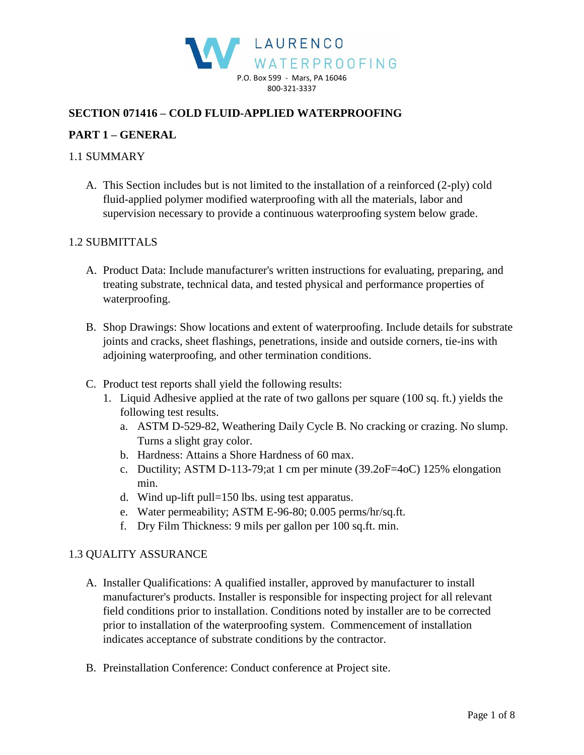

# **SECTION 071416 – COLD FLUID-APPLIED WATERPROOFING**

# **PART 1 – GENERAL**

### 1.1 SUMMARY

A. This Section includes but is not limited to the installation of a reinforced (2-ply) cold fluid-applied polymer modified waterproofing with all the materials, labor and supervision necessary to provide a continuous waterproofing system below grade.

#### 1.2 SUBMITTALS

- A. Product Data: Include manufacturer's written instructions for evaluating, preparing, and treating substrate, technical data, and tested physical and performance properties of waterproofing.
- B. Shop Drawings: Show locations and extent of waterproofing. Include details for substrate joints and cracks, sheet flashings, penetrations, inside and outside corners, tie-ins with adjoining waterproofing, and other termination conditions.
- C. Product test reports shall yield the following results:
	- 1. Liquid Adhesive applied at the rate of two gallons per square (100 sq. ft.) yields the following test results.
		- a. ASTM D-529-82, Weathering Daily Cycle B. No cracking or crazing. No slump. Turns a slight gray color.
		- b. Hardness: Attains a Shore Hardness of 60 max.
		- c. Ductility; ASTM D-113-79;at 1 cm per minute (39.2oF=4oC) 125% elongation min.
		- d. Wind up-lift pull=150 lbs. using test apparatus.
		- e. Water permeability; ASTM E-96-80; 0.005 perms/hr/sq.ft.
		- f. Dry Film Thickness: 9 mils per gallon per 100 sq.ft. min.

#### 1.3 QUALITY ASSURANCE

- A. Installer Qualifications: A qualified installer, approved by manufacturer to install manufacturer's products. Installer is responsible for inspecting project for all relevant field conditions prior to installation. Conditions noted by installer are to be corrected prior to installation of the waterproofing system. Commencement of installation indicates acceptance of substrate conditions by the contractor.
- B. Preinstallation Conference: Conduct conference at Project site.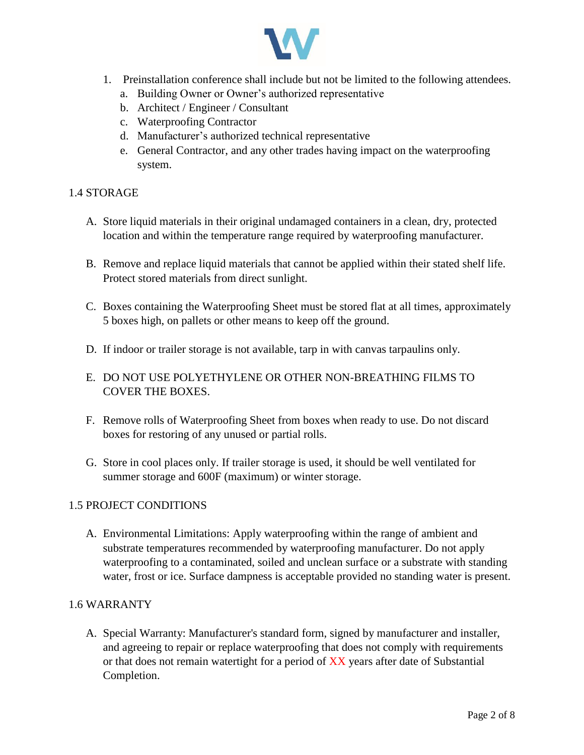

- 1. Preinstallation conference shall include but not be limited to the following attendees.
	- a. Building Owner or Owner's authorized representative
	- b. Architect / Engineer / Consultant
	- c. Waterproofing Contractor
	- d. Manufacturer's authorized technical representative
	- e. General Contractor, and any other trades having impact on the waterproofing system.

# 1.4 STORAGE

- A. Store liquid materials in their original undamaged containers in a clean, dry, protected location and within the temperature range required by waterproofing manufacturer.
- B. Remove and replace liquid materials that cannot be applied within their stated shelf life. Protect stored materials from direct sunlight.
- C. Boxes containing the Waterproofing Sheet must be stored flat at all times, approximately 5 boxes high, on pallets or other means to keep off the ground.
- D. If indoor or trailer storage is not available, tarp in with canvas tarpaulins only.
- E. DO NOT USE POLYETHYLENE OR OTHER NON-BREATHING FILMS TO COVER THE BOXES.
- F. Remove rolls of Waterproofing Sheet from boxes when ready to use. Do not discard boxes for restoring of any unused or partial rolls.
- G. Store in cool places only. If trailer storage is used, it should be well ventilated for summer storage and 600F (maximum) or winter storage.

# 1.5 PROJECT CONDITIONS

A. Environmental Limitations: Apply waterproofing within the range of ambient and substrate temperatures recommended by waterproofing manufacturer. Do not apply waterproofing to a contaminated, soiled and unclean surface or a substrate with standing water, frost or ice. Surface dampness is acceptable provided no standing water is present.

# 1.6 WARRANTY

A. Special Warranty: Manufacturer's standard form, signed by manufacturer and installer, and agreeing to repair or replace waterproofing that does not comply with requirements or that does not remain watertight for a period of XX years after date of Substantial Completion.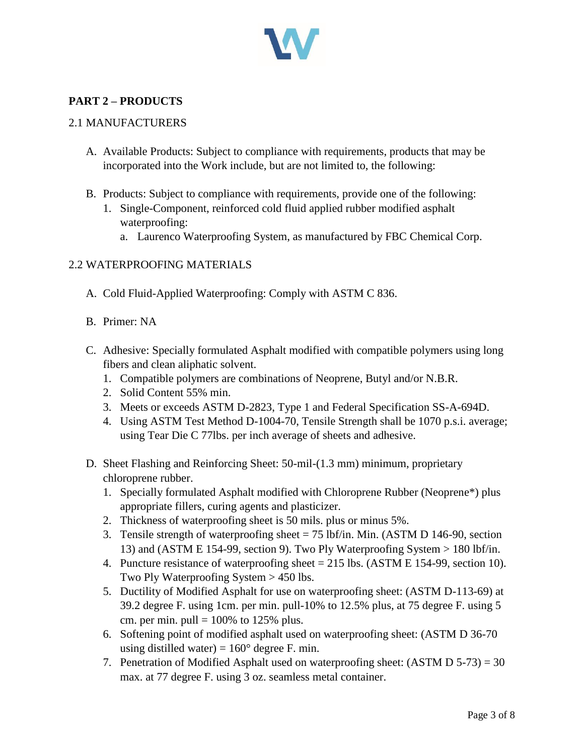

# **PART 2 – PRODUCTS**

### 2.1 MANUFACTURERS

- A. Available Products: Subject to compliance with requirements, products that may be incorporated into the Work include, but are not limited to, the following:
- B. Products: Subject to compliance with requirements, provide one of the following:
	- 1. Single-Component, reinforced cold fluid applied rubber modified asphalt waterproofing:
		- a. Laurenco Waterproofing System, as manufactured by FBC Chemical Corp.

### 2.2 WATERPROOFING MATERIALS

- A. Cold Fluid-Applied Waterproofing: Comply with ASTM C 836.
- B. Primer: NA
- C. Adhesive: Specially formulated Asphalt modified with compatible polymers using long fibers and clean aliphatic solvent.
	- 1. Compatible polymers are combinations of Neoprene, Butyl and/or N.B.R.
	- 2. Solid Content 55% min.
	- 3. Meets or exceeds ASTM D-2823, Type 1 and Federal Specification SS-A-694D.
	- 4. Using ASTM Test Method D-1004-70, Tensile Strength shall be 1070 p.s.i. average; using Tear Die C 77lbs. per inch average of sheets and adhesive.
- D. Sheet Flashing and Reinforcing Sheet: 50-mil-(1.3 mm) minimum, proprietary chloroprene rubber.
	- 1. Specially formulated Asphalt modified with Chloroprene Rubber (Neoprene\*) plus appropriate fillers, curing agents and plasticizer.
	- 2. Thickness of waterproofing sheet is 50 mils. plus or minus 5%.
	- 3. Tensile strength of waterproofing sheet = 75 lbf/in. Min. (ASTM D 146-90, section 13) and (ASTM E 154-99, section 9). Two Ply Waterproofing System > 180 lbf/in.
	- 4. Puncture resistance of waterproofing sheet = 215 lbs. (ASTM E 154-99, section 10). Two Ply Waterproofing System > 450 lbs.
	- 5. Ductility of Modified Asphalt for use on waterproofing sheet: (ASTM D-113-69) at 39.2 degree F. using 1cm. per min. pull-10% to 12.5% plus, at 75 degree F. using 5 cm. per min. pull =  $100\%$  to 125% plus.
	- 6. Softening point of modified asphalt used on waterproofing sheet: (ASTM D 36-70 using distilled water) =  $160^{\circ}$  degree F. min.
	- 7. Penetration of Modified Asphalt used on waterproofing sheet: (ASTM D 5-73) = 30 max. at 77 degree F. using 3 oz. seamless metal container.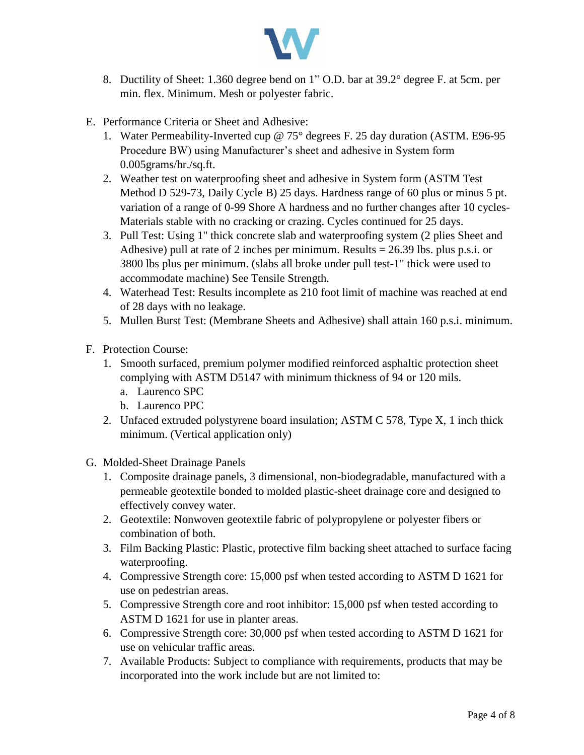

- 8. Ductility of Sheet: 1.360 degree bend on 1" O.D. bar at 39.2° degree F. at 5cm. per min. flex. Minimum. Mesh or polyester fabric.
- E. Performance Criteria or Sheet and Adhesive:
	- 1. Water Permeability-Inverted cup @ 75° degrees F. 25 day duration (ASTM. E96-95 Procedure BW) using Manufacturer's sheet and adhesive in System form 0.005grams/hr./sq.ft.
	- 2. Weather test on waterproofing sheet and adhesive in System form (ASTM Test Method D 529-73, Daily Cycle B) 25 days. Hardness range of 60 plus or minus 5 pt. variation of a range of 0-99 Shore A hardness and no further changes after 10 cycles-Materials stable with no cracking or crazing. Cycles continued for 25 days.
	- 3. Pull Test: Using 1" thick concrete slab and waterproofing system (2 plies Sheet and Adhesive) pull at rate of 2 inches per minimum. Results  $= 26.39$  lbs. plus p.s.i. or 3800 lbs plus per minimum. (slabs all broke under pull test-1" thick were used to accommodate machine) See Tensile Strength.
	- 4. Waterhead Test: Results incomplete as 210 foot limit of machine was reached at end of 28 days with no leakage.
	- 5. Mullen Burst Test: (Membrane Sheets and Adhesive) shall attain 160 p.s.i. minimum.
- F. Protection Course:
	- 1. Smooth surfaced, premium polymer modified reinforced asphaltic protection sheet complying with ASTM D5147 with minimum thickness of 94 or 120 mils.
		- a. Laurenco SPC
		- b. Laurenco PPC
	- 2. Unfaced extruded polystyrene board insulation; ASTM C 578, Type X, 1 inch thick minimum. (Vertical application only)
- G. Molded-Sheet Drainage Panels
	- 1. Composite drainage panels, 3 dimensional, non-biodegradable, manufactured with a permeable geotextile bonded to molded plastic-sheet drainage core and designed to effectively convey water.
	- 2. Geotextile: Nonwoven geotextile fabric of polypropylene or polyester fibers or combination of both.
	- 3. Film Backing Plastic: Plastic, protective film backing sheet attached to surface facing waterproofing.
	- 4. Compressive Strength core: 15,000 psf when tested according to ASTM D 1621 for use on pedestrian areas.
	- 5. Compressive Strength core and root inhibitor: 15,000 psf when tested according to ASTM D 1621 for use in planter areas.
	- 6. Compressive Strength core: 30,000 psf when tested according to ASTM D 1621 for use on vehicular traffic areas.
	- 7. Available Products: Subject to compliance with requirements, products that may be incorporated into the work include but are not limited to: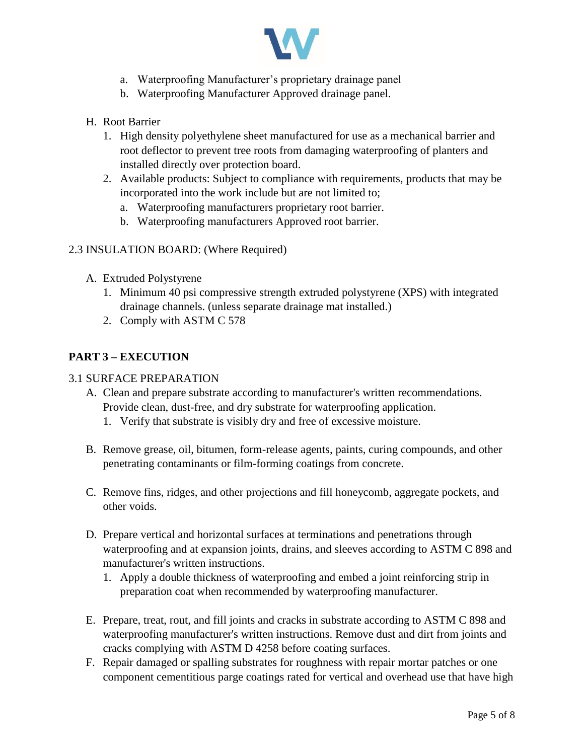

- a. Waterproofing Manufacturer's proprietary drainage panel
- b. Waterproofing Manufacturer Approved drainage panel.
- H. Root Barrier
	- 1. High density polyethylene sheet manufactured for use as a mechanical barrier and root deflector to prevent tree roots from damaging waterproofing of planters and installed directly over protection board.
	- 2. Available products: Subject to compliance with requirements, products that may be incorporated into the work include but are not limited to;
		- a. Waterproofing manufacturers proprietary root barrier.
		- b. Waterproofing manufacturers Approved root barrier.

### 2.3 INSULATION BOARD: (Where Required)

- A. Extruded Polystyrene
	- 1. Minimum 40 psi compressive strength extruded polystyrene (XPS) with integrated drainage channels. (unless separate drainage mat installed.)
	- 2. Comply with ASTM C 578

# **PART 3 – EXECUTION**

### 3.1 SURFACE PREPARATION

- A. Clean and prepare substrate according to manufacturer's written recommendations. Provide clean, dust-free, and dry substrate for waterproofing application.
	- 1. Verify that substrate is visibly dry and free of excessive moisture.
- B. Remove grease, oil, bitumen, form-release agents, paints, curing compounds, and other penetrating contaminants or film-forming coatings from concrete.
- C. Remove fins, ridges, and other projections and fill honeycomb, aggregate pockets, and other voids.
- D. Prepare vertical and horizontal surfaces at terminations and penetrations through waterproofing and at expansion joints, drains, and sleeves according to ASTM C 898 and manufacturer's written instructions.
	- 1. Apply a double thickness of waterproofing and embed a joint reinforcing strip in preparation coat when recommended by waterproofing manufacturer.
- E. Prepare, treat, rout, and fill joints and cracks in substrate according to ASTM C 898 and waterproofing manufacturer's written instructions. Remove dust and dirt from joints and cracks complying with ASTM D 4258 before coating surfaces.
- F. Repair damaged or spalling substrates for roughness with repair mortar patches or one component cementitious parge coatings rated for vertical and overhead use that have high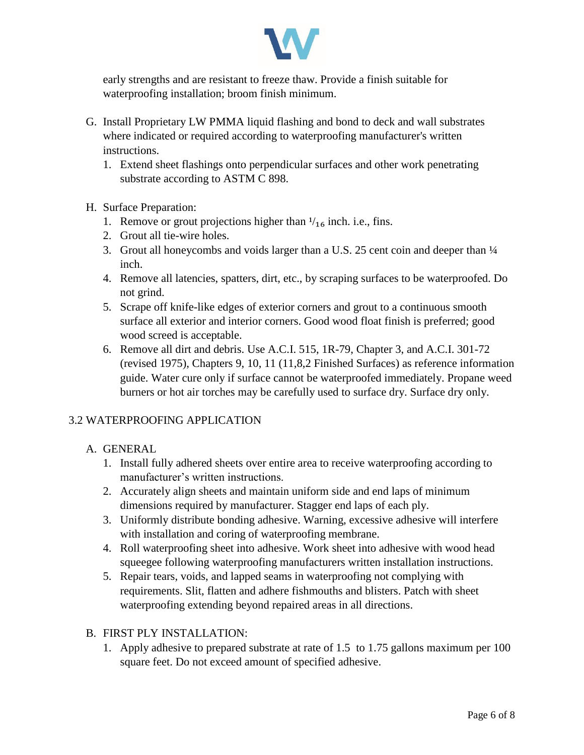

early strengths and are resistant to freeze thaw. Provide a finish suitable for waterproofing installation; broom finish minimum.

- G. Install Proprietary LW PMMA liquid flashing and bond to deck and wall substrates where indicated or required according to waterproofing manufacturer's written instructions.
	- 1. Extend sheet flashings onto perpendicular surfaces and other work penetrating substrate according to ASTM C 898.
- H. Surface Preparation:
	- 1. Remove or grout projections higher than  $\frac{1}{16}$  inch. i.e., fins.
	- 2. Grout all tie-wire holes.
	- 3. Grout all honeycombs and voids larger than a U.S. 25 cent coin and deeper than ¼ inch.
	- 4. Remove all latencies, spatters, dirt, etc., by scraping surfaces to be waterproofed. Do not grind.
	- 5. Scrape off knife-like edges of exterior corners and grout to a continuous smooth surface all exterior and interior corners. Good wood float finish is preferred; good wood screed is acceptable.
	- 6. Remove all dirt and debris. Use A.C.I. 515, 1R-79, Chapter 3, and A.C.I. 301-72 (revised 1975), Chapters 9, 10, 11 (11,8,2 Finished Surfaces) as reference information guide. Water cure only if surface cannot be waterproofed immediately. Propane weed burners or hot air torches may be carefully used to surface dry. Surface dry only.

# 3.2 WATERPROOFING APPLICATION

# A. GENERAL

- 1. Install fully adhered sheets over entire area to receive waterproofing according to manufacturer's written instructions.
- 2. Accurately align sheets and maintain uniform side and end laps of minimum dimensions required by manufacturer. Stagger end laps of each ply.
- 3. Uniformly distribute bonding adhesive. Warning, excessive adhesive will interfere with installation and coring of waterproofing membrane.
- 4. Roll waterproofing sheet into adhesive. Work sheet into adhesive with wood head squeegee following waterproofing manufacturers written installation instructions.
- 5. Repair tears, voids, and lapped seams in waterproofing not complying with requirements. Slit, flatten and adhere fishmouths and blisters. Patch with sheet waterproofing extending beyond repaired areas in all directions.

### B. FIRST PLY INSTALLATION:

1. Apply adhesive to prepared substrate at rate of 1.5 to 1.75 gallons maximum per 100 square feet. Do not exceed amount of specified adhesive.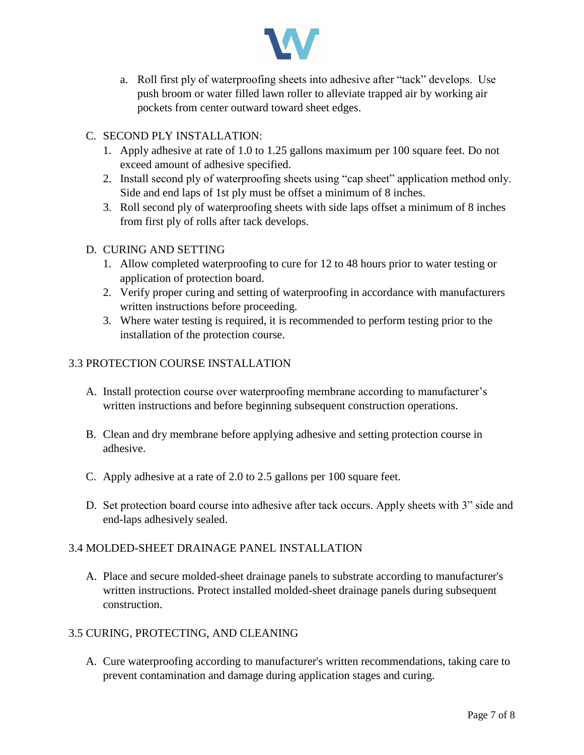

a. Roll first ply of waterproofing sheets into adhesive after "tack" develops. Use push broom or water filled lawn roller to alleviate trapped air by working air pockets from center outward toward sheet edges.

# C. SECOND PLY INSTALLATION:

- 1. Apply adhesive at rate of 1.0 to 1.25 gallons maximum per 100 square feet. Do not exceed amount of adhesive specified.
- 2. Install second ply of waterproofing sheets using "cap sheet" application method only. Side and end laps of 1st ply must be offset a minimum of 8 inches.
- 3. Roll second ply of waterproofing sheets with side laps offset a minimum of 8 inches from first ply of rolls after tack develops.

# D. CURING AND SETTING

- 1. Allow completed waterproofing to cure for 12 to 48 hours prior to water testing or application of protection board.
- 2. Verify proper curing and setting of waterproofing in accordance with manufacturers written instructions before proceeding.
- 3. Where water testing is required, it is recommended to perform testing prior to the installation of the protection course.

# 3.3 PROTECTION COURSE INSTALLATION

- A. Install protection course over waterproofing membrane according to manufacturer's written instructions and before beginning subsequent construction operations.
- B. Clean and dry membrane before applying adhesive and setting protection course in adhesive.
- C. Apply adhesive at a rate of 2.0 to 2.5 gallons per 100 square feet.
- D. Set protection board course into adhesive after tack occurs. Apply sheets with 3" side and end-laps adhesively sealed.

# 3.4 MOLDED-SHEET DRAINAGE PANEL INSTALLATION

A. Place and secure molded-sheet drainage panels to substrate according to manufacturer's written instructions. Protect installed molded-sheet drainage panels during subsequent construction.

# 3.5 CURING, PROTECTING, AND CLEANING

A. Cure waterproofing according to manufacturer's written recommendations, taking care to prevent contamination and damage during application stages and curing.